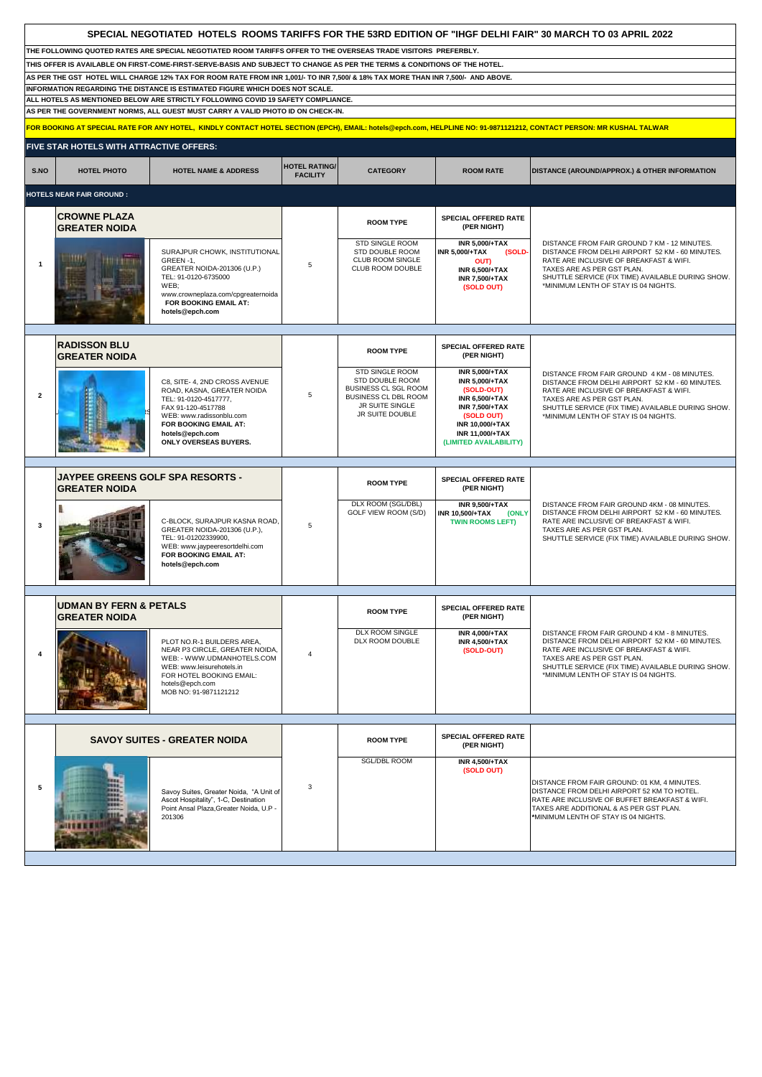|                                                                                                                                  | SPECIAL NEGOTIATED HOTELS ROOMS TARIFFS FOR THE 53RD EDITION OF "IHGF DELHI FAIR" 30 MARCH TO 03 APRIL 2022                                                                                                                                 |                                                                                           |                      |                                                                            |                                                                                                  |                                                                                                                                                                          |  |
|----------------------------------------------------------------------------------------------------------------------------------|---------------------------------------------------------------------------------------------------------------------------------------------------------------------------------------------------------------------------------------------|-------------------------------------------------------------------------------------------|----------------------|----------------------------------------------------------------------------|--------------------------------------------------------------------------------------------------|--------------------------------------------------------------------------------------------------------------------------------------------------------------------------|--|
|                                                                                                                                  | THE FOLLOWING QUOTED RATES ARE SPECIAL NEGOTIATED ROOM TARIFFS OFFER TO THE OVERSEAS TRADE VISITORS PREFERBLY.<br>THIS OFFER IS AVAILABLE ON FIRST-COME-FIRST-SERVE-BASIS AND SUBJECT TO CHANGE AS PER THE TERMS & CONDITIONS OF THE HOTEL. |                                                                                           |                      |                                                                            |                                                                                                  |                                                                                                                                                                          |  |
| AS PER THE GST HOTEL WILL CHARGE 12% TAX FOR ROOM RATE FROM INR 1,001/- TO INR 7,500/ & 18% TAX MORE THAN INR 7,500/- AND ABOVE. |                                                                                                                                                                                                                                             |                                                                                           |                      |                                                                            |                                                                                                  |                                                                                                                                                                          |  |
|                                                                                                                                  | INFORMATION REGARDING THE DISTANCE IS ESTIMATED FIGURE WHICH DOES NOT SCALE.<br>ALL HOTELS AS MENTIONED BELOW ARE STRICTLY FOLLOWING COVID 19 SAFETY COMPLIANCE.                                                                            |                                                                                           |                      |                                                                            |                                                                                                  |                                                                                                                                                                          |  |
|                                                                                                                                  |                                                                                                                                                                                                                                             | AS PER THE GOVERNMENT NORMS, ALL GUEST MUST CARRY A VALID PHOTO ID ON CHECK-IN.           |                      |                                                                            |                                                                                                  |                                                                                                                                                                          |  |
|                                                                                                                                  |                                                                                                                                                                                                                                             |                                                                                           |                      |                                                                            |                                                                                                  | FOR BOOKING AT SPECIAL RATE FOR ANY HOTEL, KINDLY CONTACT HOTEL SECTION (EPCH), EMAIL: hotels@epch.com, HELPLINE NO: 91-9871121212, CONTACT PERSON: MR KUSHAL TALWAR     |  |
|                                                                                                                                  | FIVE STAR HOTELS WITH ATTRACTIVE OFFERS:                                                                                                                                                                                                    |                                                                                           |                      |                                                                            |                                                                                                  |                                                                                                                                                                          |  |
| S.NO                                                                                                                             | <b>HOTEL PHOTO</b>                                                                                                                                                                                                                          | <b>HOTEL NAME &amp; ADDRESS</b>                                                           | <b>HOTEL RATING/</b> | <b>CATEGORY</b>                                                            | <b>ROOM RATE</b>                                                                                 |                                                                                                                                                                          |  |
|                                                                                                                                  |                                                                                                                                                                                                                                             |                                                                                           | <b>FACILITY</b>      |                                                                            |                                                                                                  | DISTANCE (AROUND/APPROX.) & OTHER INFORMATION                                                                                                                            |  |
|                                                                                                                                  | <b>HOTELS NEAR FAIR GROUND:</b>                                                                                                                                                                                                             |                                                                                           |                      |                                                                            |                                                                                                  |                                                                                                                                                                          |  |
|                                                                                                                                  | <b>CROWNE PLAZA</b><br><b>GREATER NOIDA</b>                                                                                                                                                                                                 |                                                                                           |                      | <b>ROOM TYPE</b>                                                           | SPECIAL OFFERED RATE<br>(PER NIGHT)                                                              |                                                                                                                                                                          |  |
| $\mathbf 1$                                                                                                                      |                                                                                                                                                                                                                                             | SURAJPUR CHOWK, INSTITUTIONAL<br>GREEN-1,<br>GREATER NOIDA-201306 (U.P.)                  | 5                    | STD SINGLE ROOM<br>STD DOUBLE ROOM<br>CLUB ROOM SINGLE<br>CLUB ROOM DOUBLE | <b>INR 5,000/+TAX</b><br><b>INR 5,000/+TAX</b><br>(SOLD-<br><b>OUT)</b><br><b>INR 6,500/+TAX</b> | DISTANCE FROM FAIR GROUND 7 KM - 12 MINUTES.<br>DISTANCE FROM DELHI AIRPORT 52 KM - 60 MINUTES.<br>RATE ARE INCLUSIVE OF BREAKFAST & WIFI.<br>TAXES ARE AS PER GST PLAN. |  |
|                                                                                                                                  |                                                                                                                                                                                                                                             | TEL: 91-0120-6735000<br>WEB;                                                              |                      |                                                                            | <b>INR 7,500/+TAX</b><br>(SOLD OUT)                                                              | SHUTTLE SERVICE (FIX TIME) AVAILABLE DURING SHOW.<br>*MINIMUM LENTH OF STAY IS 04 NIGHTS.                                                                                |  |
|                                                                                                                                  |                                                                                                                                                                                                                                             | www.crowneplaza.com/cpgreaternoida<br>FOR BOOKING EMAIL AT:<br>hotels@epch.com            |                      |                                                                            |                                                                                                  |                                                                                                                                                                          |  |
|                                                                                                                                  |                                                                                                                                                                                                                                             |                                                                                           |                      |                                                                            |                                                                                                  |                                                                                                                                                                          |  |
|                                                                                                                                  | <b>RADISSON BLU</b><br><b>GREATER NOIDA</b>                                                                                                                                                                                                 |                                                                                           |                      | <b>ROOM TYPE</b>                                                           | SPECIAL OFFERED RATE<br>(PER NIGHT)                                                              |                                                                                                                                                                          |  |
|                                                                                                                                  |                                                                                                                                                                                                                                             | C8, SITE- 4, 2ND CROSS AVENUE<br>ROAD, KASNA, GREATER NOIDA                               |                      | <b>STD SINGLE ROOM</b><br>STD DOUBLE ROOM<br>BUSINESS CL SGL ROOM          | <b>INR 5,000/+TAX</b><br><b>INR 5,000/+TAX</b><br>(SOLD-OUT)                                     | DISTANCE FROM FAIR GROUND 4 KM - 08 MINUTES.<br>DISTANCE FROM DELHI AIRPORT 52 KM - 60 MINUTES.<br>RATE ARE INCLUSIVE OF BREAKFAST & WIFI.                               |  |
| $\overline{2}$                                                                                                                   |                                                                                                                                                                                                                                             | TEL: 91-0120-4517777,<br>FAX 91-120-4517788                                               | 5                    | BUSINESS CL DBL ROOM<br>JR SUITE SINGLE                                    | <b>INR 6,500/+TAX</b><br><b>INR 7,500/+TAX</b>                                                   | TAXES ARE AS PER GST PLAN.<br>SHUTTLE SERVICE (FIX TIME) AVAILABLE DURING SHOW.                                                                                          |  |
|                                                                                                                                  |                                                                                                                                                                                                                                             | WEB: www.radissonblu.com<br>FOR BOOKING EMAIL AT:<br>hotels@epch.com                      |                      | JR SUITE DOUBLE                                                            | (SOLD OUT)<br><b>INR 10,000/+TAX</b><br><b>INR 11,000/+TAX</b>                                   | *MINIMUM LENTH OF STAY IS 04 NIGHTS.                                                                                                                                     |  |
|                                                                                                                                  |                                                                                                                                                                                                                                             | ONLY OVERSEAS BUYERS.                                                                     |                      |                                                                            | (LIMITED AVAILABILITY)                                                                           |                                                                                                                                                                          |  |
|                                                                                                                                  | <b>JAYPEE GREENS GOLF SPA RESORTS -</b>                                                                                                                                                                                                     |                                                                                           |                      |                                                                            | SPECIAL OFFERED RATE                                                                             |                                                                                                                                                                          |  |
|                                                                                                                                  | <b>GREATER NOIDA</b>                                                                                                                                                                                                                        |                                                                                           |                      | <b>ROOM TYPE</b>                                                           | (PER NIGHT)                                                                                      |                                                                                                                                                                          |  |
|                                                                                                                                  |                                                                                                                                                                                                                                             | C-BLOCK, SURAJPUR KASNA ROAD,                                                             |                      | DLX ROOM (SGL/DBL)<br>GOLF VIEW ROOM (S/D)                                 | <b>INR 9,500/+TAX</b><br><b>INR 10,500/+TAX</b><br>(ONLY<br><b>TWIN ROOMS LEFT)</b>              | DISTANCE FROM FAIR GROUND 4KM - 08 MINUTES.<br>DISTANCE FROM DELHI AIRPORT 52 KM - 60 MINUTES.<br>RATE ARE INCLUSIVE OF BREAKFAST & WIFI.                                |  |
| 3                                                                                                                                |                                                                                                                                                                                                                                             | GREATER NOIDA-201306 (U.P.),<br>TEL: 91-01202339900,<br>WEB: www.jaypeeresortdelhi.com    | 5                    |                                                                            |                                                                                                  | TAXES ARE AS PER GST PLAN.<br>SHUTTLE SERVICE (FIX TIME) AVAILABLE DURING SHOW.                                                                                          |  |
|                                                                                                                                  |                                                                                                                                                                                                                                             | FOR BOOKING EMAIL AT:<br>hotels@epch.com                                                  |                      |                                                                            |                                                                                                  |                                                                                                                                                                          |  |
|                                                                                                                                  |                                                                                                                                                                                                                                             |                                                                                           |                      |                                                                            |                                                                                                  |                                                                                                                                                                          |  |
|                                                                                                                                  | <b>UDMAN BY FERN &amp; PETALS</b>                                                                                                                                                                                                           |                                                                                           |                      |                                                                            | SPECIAL OFFERED RATE                                                                             |                                                                                                                                                                          |  |
|                                                                                                                                  | <b>GREATER NOIDA</b>                                                                                                                                                                                                                        |                                                                                           |                      | <b>ROOM TYPE</b>                                                           | (PER NIGHT)                                                                                      |                                                                                                                                                                          |  |
|                                                                                                                                  |                                                                                                                                                                                                                                             | PLOT NO.R-1 BUILDERS AREA,<br>NEAR P3 CIRCLE, GREATER NOIDA,                              |                      | DLX ROOM SINGLE<br>DLX ROOM DOUBLE                                         | <b>INR 4.000/+TAX</b><br><b>INR 4,500/+TAX</b><br>(SOLD-OUT)                                     | DISTANCE FROM FAIR GROUND 4 KM - 8 MINUTES.<br>DISTANCE FROM DELHI AIRPORT 52 KM - 60 MINUTES.<br>RATE ARE INCLUSIVE OF BREAKFAST & WIFI.                                |  |
|                                                                                                                                  |                                                                                                                                                                                                                                             | WEB: - WWW.UDMANHOTELS.COM<br>WEB: www.leisurehotels.in                                   | $\overline{4}$       |                                                                            |                                                                                                  | TAXES ARE AS PER GST PLAN.<br>SHUTTLE SERVICE (FIX TIME) AVAILABLE DURING SHOW.                                                                                          |  |
|                                                                                                                                  |                                                                                                                                                                                                                                             | FOR HOTEL BOOKING EMAIL:<br>hotels@epch.com<br>MOB NO: 91-9871121212                      |                      |                                                                            |                                                                                                  | *MINIMUM LENTH OF STAY IS 04 NIGHTS.                                                                                                                                     |  |
|                                                                                                                                  |                                                                                                                                                                                                                                             |                                                                                           |                      |                                                                            |                                                                                                  |                                                                                                                                                                          |  |
|                                                                                                                                  |                                                                                                                                                                                                                                             |                                                                                           |                      |                                                                            |                                                                                                  |                                                                                                                                                                          |  |
|                                                                                                                                  |                                                                                                                                                                                                                                             | <b>SAVOY SUITES - GREATER NOIDA</b>                                                       |                      | <b>ROOM TYPE</b>                                                           | SPECIAL OFFERED RATE<br>(PER NIGHT)                                                              |                                                                                                                                                                          |  |
|                                                                                                                                  |                                                                                                                                                                                                                                             |                                                                                           |                      | <b>SGL/DBL ROOM</b>                                                        | <b>INR 4,500/+TAX</b><br>(SOLD OUT)                                                              |                                                                                                                                                                          |  |
| 5                                                                                                                                |                                                                                                                                                                                                                                             | Savoy Suites, Greater Noida, "A Unit of                                                   | 3                    |                                                                            |                                                                                                  | DISTANCE FROM FAIR GROUND: 01 KM, 4 MINUTES.<br>DISTANCE FROM DELHI AIRPORT 52 KM TO HOTEL.                                                                              |  |
|                                                                                                                                  |                                                                                                                                                                                                                                             | Ascot Hospitality", 1-C, Destination<br>Point Ansal Plaza, Greater Noida, U.P -<br>201306 |                      |                                                                            |                                                                                                  | RATE ARE INCLUSIVE OF BUFFET BREAKFAST & WIFI.<br>TAXES ARE ADDITIONAL & AS PER GST PLAN.<br>*MINIMUM LENTH OF STAY IS 04 NIGHTS.                                        |  |
|                                                                                                                                  |                                                                                                                                                                                                                                             |                                                                                           |                      |                                                                            |                                                                                                  |                                                                                                                                                                          |  |
|                                                                                                                                  |                                                                                                                                                                                                                                             |                                                                                           |                      |                                                                            |                                                                                                  |                                                                                                                                                                          |  |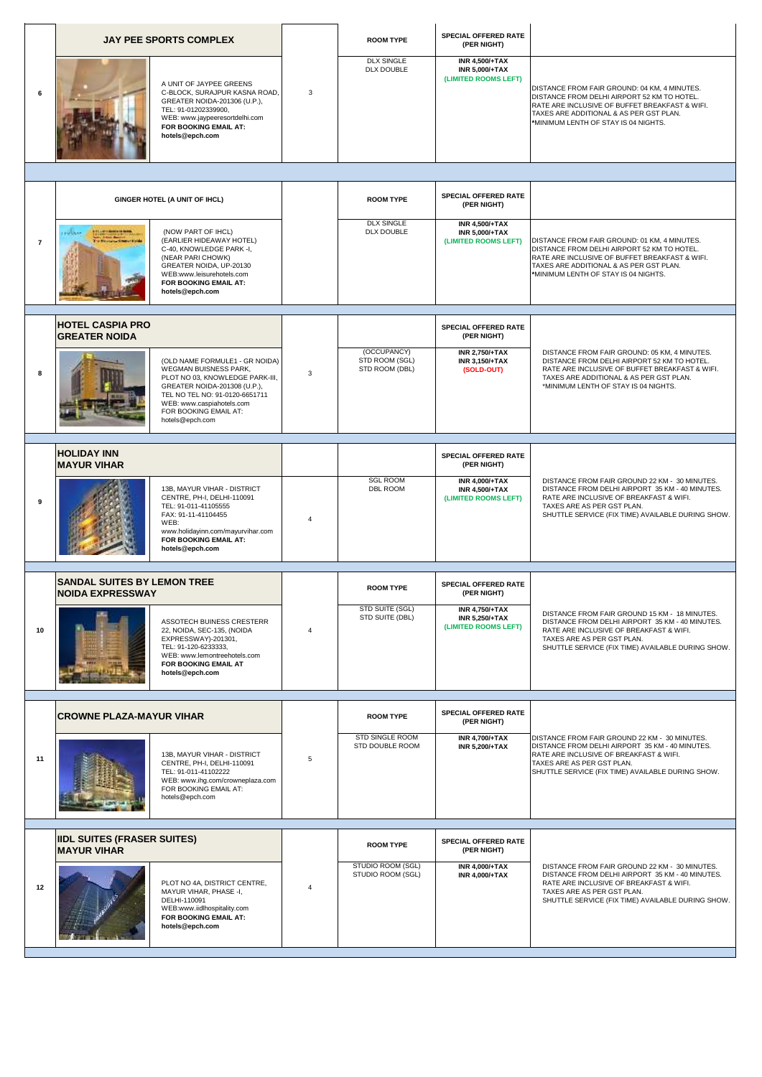|                |                                                                             | <b>JAY PEE SPORTS COMPLEX</b>                                                                                                                                                                                                         |                | <b>ROOM TYPE</b>                                | <b>SPECIAL OFFERED RATE</b><br>(PER NIGHT)                             |                                                                                                                                                                                                                                  |
|----------------|-----------------------------------------------------------------------------|---------------------------------------------------------------------------------------------------------------------------------------------------------------------------------------------------------------------------------------|----------------|-------------------------------------------------|------------------------------------------------------------------------|----------------------------------------------------------------------------------------------------------------------------------------------------------------------------------------------------------------------------------|
| 6              |                                                                             | A UNIT OF JAYPEE GREENS<br>C-BLOCK, SURAJPUR KASNA ROAD,<br>GREATER NOIDA-201306 (U.P.),<br>TEL: 91-01202339900,<br>WEB: www.jaypeeresortdelhi.com<br>FOR BOOKING EMAIL AT:<br>hotels@epch.com                                        | 3              | <b>DLX SINGLE</b><br>DLX DOUBLE                 | <b>INR 4,500/+TAX</b><br><b>INR 5,000/+TAX</b><br>(LIMITED ROOMS LEFT) | DISTANCE FROM FAIR GROUND: 04 KM, 4 MINUTES.<br>DISTANCE FROM DELHI AIRPORT 52 KM TO HOTEL.<br>RATE ARE INCLUSIVE OF BUFFET BREAKFAST & WIFI.<br>TAXES ARE ADDITIONAL & AS PER GST PLAN.<br>*MINIMUM LENTH OF STAY IS 04 NIGHTS. |
|                |                                                                             |                                                                                                                                                                                                                                       |                |                                                 |                                                                        |                                                                                                                                                                                                                                  |
|                |                                                                             | GINGER HOTEL (A UNIT OF IHCL)                                                                                                                                                                                                         |                | <b>ROOM TYPE</b>                                | <b>SPECIAL OFFERED RATE</b><br>(PER NIGHT)                             |                                                                                                                                                                                                                                  |
| $\overline{7}$ | <b>ETLUMI KONFERENSI</b><br><b>TOON</b><br><b>The Western Council Holds</b> | (NOW PART OF IHCL)<br>(EARLIER HIDEAWAY HOTEL)<br>C-40, KNOWLEDGE PARK -I,<br>(NEAR PARI CHOWK)<br>GREATER NOIDA, UP-20130<br>WEB:www.leisurehotels.com<br>FOR BOOKING EMAIL AT:<br>hotels@epch.com                                   |                | <b>DLX SINGLE</b><br>DLX DOUBLE                 | <b>INR 4,500/+TAX</b><br><b>INR 5,000/+TAX</b><br>(LIMITED ROOMS LEFT) | DISTANCE FROM FAIR GROUND: 01 KM, 4 MINUTES.<br>DISTANCE FROM DELHI AIRPORT 52 KM TO HOTEL.<br>RATE ARE INCLUSIVE OF BUFFET BREAKFAST & WIFI.<br>TAXES ARE ADDITIONAL & AS PER GST PLAN.<br>*MINIMUM LENTH OF STAY IS 04 NIGHTS. |
|                | <b>HOTEL CASPIA PRO</b><br><b>GREATER NOIDA</b>                             |                                                                                                                                                                                                                                       |                |                                                 | <b>SPECIAL OFFERED RATE</b><br>(PER NIGHT)                             |                                                                                                                                                                                                                                  |
| 8              |                                                                             | (OLD NAME FORMULE1 - GR NOIDA)<br>WEGMAN BUISNESS PARK,<br>PLOT NO 03, KNOWLEDGE PARK-III,<br>GREATER NOIDA-201308 (U.P.),<br>TEL NO TEL NO: 91-0120-6651711<br>WEB: www.caspiahotels.com<br>FOR BOOKING EMAIL AT:<br>hotels@epch.com | 3              | (OCCUPANCY)<br>STD ROOM (SGL)<br>STD ROOM (DBL) | <b>INR 2,750/+TAX</b><br><b>INR 3,150/+TAX</b><br>(SOLD-OUT)           | DISTANCE FROM FAIR GROUND: 05 KM, 4 MINUTES.<br>DISTANCE FROM DELHI AIRPORT 52 KM TO HOTEL.<br>RATE ARE INCLUSIVE OF BUFFET BREAKFAST & WIFI.<br>TAXES ARE ADDITIONAL & AS PER GST PLAN.<br>*MINIMUM LENTH OF STAY IS 04 NIGHTS. |
|                | <b>HOLIDAY INN</b>                                                          |                                                                                                                                                                                                                                       |                |                                                 | SPECIAL OFFERED RATE                                                   |                                                                                                                                                                                                                                  |
|                | <b>MAYUR VIHAR</b>                                                          |                                                                                                                                                                                                                                       |                | <b>SGL ROOM</b>                                 | (PER NIGHT)<br><b>INR 4,000/+TAX</b>                                   | DISTANCE FROM FAIR GROUND 22 KM - 30 MINUTES.                                                                                                                                                                                    |
| 9              |                                                                             | 13B, MAYUR VIHAR - DISTRICT<br>CENTRE, PH-I, DELHI-110091<br>TEL: 91-011-41105555<br>FAX: 91-11-41104455<br>WEB:<br>www.holidayinn.com/mayurvihar.com<br>FOR BOOKING EMAIL AT:<br>hotels@epch.com                                     | $\overline{4}$ | DBL ROOM                                        | <b>INR 4,500/+TAX</b><br>(LIMITED ROOMS LEFT)                          | DISTANCE FROM DELHI AIRPORT 35 KM - 40 MINUTES.<br>RATE ARE INCLUSIVE OF BREAKFAST & WIFI.<br>TAXES ARE AS PER GST PLAN.<br>SHUTTLE SERVICE (FIX TIME) AVAILABLE DURING SHOW.                                                    |
|                | <b>SANDAL SUITES BY LEMON TREE</b><br><b>NOIDA EXPRESSWAY</b>               |                                                                                                                                                                                                                                       |                | <b>ROOM TYPE</b>                                | SPECIAL OFFERED RATE<br>(PER NIGHT)                                    |                                                                                                                                                                                                                                  |
| 10             |                                                                             | ASSOTECH BUINESS CRESTERR<br>22, NOIDA, SEC-135, (NOIDA<br>EXPRESSWAY)-201301,<br>TEL: 91-120-6233333,<br>WEB: www.lemontreehotels.com<br>FOR BOOKING EMAIL AT<br>hotels@epch.com                                                     | $\overline{4}$ | STD SUITE (SGL)<br>STD SUITE (DBL)              | <b>INR 4,750/+TAX</b><br><b>INR 5,250/+TAX</b><br>(LIMITED ROOMS LEFT) | DISTANCE FROM FAIR GROUND 15 KM - 18 MINUTES.<br>DISTANCE FROM DELHI AIRPORT 35 KM - 40 MINUTES.<br>RATE ARE INCLUSIVE OF BREAKFAST & WIFI.<br>TAXES ARE AS PER GST PLAN.<br>SHUTTLE SERVICE (FIX TIME) AVAILABLE DURING SHOW.   |
|                | <b>CROWNE PLAZA-MAYUR VIHAR</b>                                             |                                                                                                                                                                                                                                       |                | <b>ROOM TYPE</b>                                | <b>SPECIAL OFFERED RATE</b><br>(PER NIGHT)                             |                                                                                                                                                                                                                                  |
| 11             |                                                                             | 13B. MAYUR VIHAR - DISTRICT<br>CENTRE, PH-I, DELHI-110091<br>TEL: 91-011-41102222<br>WEB: www.ihg.com/crowneplaza.com<br>FOR BOOKING EMAIL AT:<br>hotels@epch.com                                                                     | 5              | STD SINGLE ROOM<br>STD DOUBLE ROOM              | <b>INR 4.700/+TAX</b><br><b>INR 5.200/+TAX</b>                         | DISTANCE FROM FAIR GROUND 22 KM - 30 MINUTES.<br>DISTANCE FROM DELHI AIRPORT 35 KM - 40 MINUTES.<br>RATE ARE INCLUSIVE OF BREAKFAST & WIFI.<br>TAXES ARE AS PER GST PLAN.<br>SHUTTLE SERVICE (FIX TIME) AVAILABLE DURING SHOW.   |
|                | <b>IIDL SUITES (FRASER SUITES)</b>                                          |                                                                                                                                                                                                                                       |                | <b>ROOM TYPE</b>                                | SPECIAL OFFERED RATE                                                   |                                                                                                                                                                                                                                  |
| 12             | <b>MAYUR VIHAR</b>                                                          | PLOT NO 4A, DISTRICT CENTRE,<br>MAYUR VIHAR, PHASE -I,<br>DELHI-110091<br>WEB:www.iidlhospitality.com<br>FOR BOOKING EMAIL AT:<br>hotels@epch.com                                                                                     | $\overline{4}$ | STUDIO ROOM (SGL)<br>STUDIO ROOM (SGL)          | (PER NIGHT)<br><b>INR 4,000/+TAX</b><br><b>INR 4,000/+TAX</b>          | DISTANCE FROM FAIR GROUND 22 KM - 30 MINUTES.<br>DISTANCE FROM DELHI AIRPORT 35 KM - 40 MINUTES.<br>RATE ARE INCLUSIVE OF BREAKFAST & WIFI.<br>TAXES ARE AS PER GST PLAN.<br>SHUTTLE SERVICE (FIX TIME) AVAILABLE DURING SHOW.   |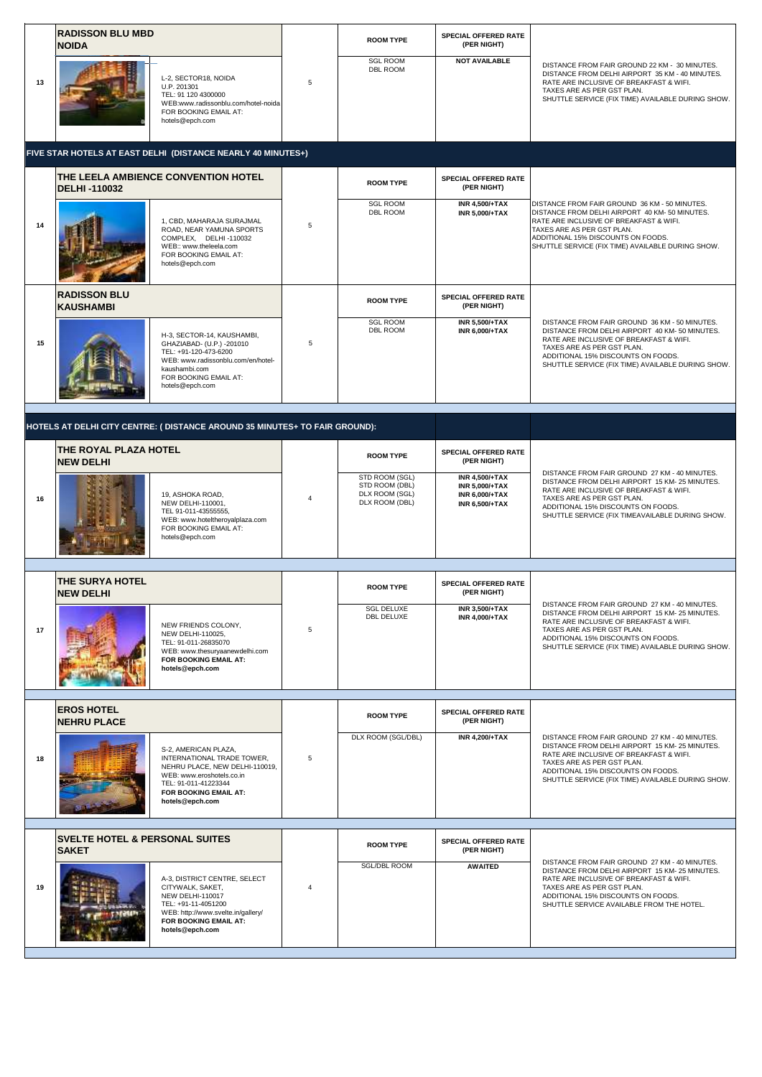|    | <b>RADISSON BLU MBD</b><br><b>NOIDA</b>   |                                                                                                                                                                                       |                | <b>ROOM TYPE</b>                                                     | <b>SPECIAL OFFERED RATE</b><br>(PER NIGHT)                                                       |                                                                                                                                                                                                                                                                     |
|----|-------------------------------------------|---------------------------------------------------------------------------------------------------------------------------------------------------------------------------------------|----------------|----------------------------------------------------------------------|--------------------------------------------------------------------------------------------------|---------------------------------------------------------------------------------------------------------------------------------------------------------------------------------------------------------------------------------------------------------------------|
| 13 |                                           | L-2, SECTOR18, NOIDA<br>U.P. 201301<br>TEL: 91 120 4300000<br>WEB:www.radissonblu.com/hotel-noida<br>FOR BOOKING EMAIL AT:<br>hotels@epch.com                                         | 5              | <b>SGL ROOM</b><br><b>DBL ROOM</b>                                   | <b>NOT AVAILABLE</b>                                                                             | DISTANCE FROM FAIR GROUND 22 KM - 30 MINUTES.<br>DISTANCE FROM DELHI AIRPORT 35 KM - 40 MINUTES.<br>RATE ARE INCLUSIVE OF BREAKFAST & WIFI.<br>TAXES ARE AS PER GST PLAN.<br>SHUTTLE SERVICE (FIX TIME) AVAILABLE DURING SHOW.                                      |
|    |                                           | FIVE STAR HOTELS AT EAST DELHI (DISTANCE NEARLY 40 MINUTES+)                                                                                                                          |                |                                                                      |                                                                                                  |                                                                                                                                                                                                                                                                     |
|    | <b>DELHI-110032</b>                       | THE LEELA AMBIENCE CONVENTION HOTEL                                                                                                                                                   |                | <b>ROOM TYPE</b>                                                     | <b>SPECIAL OFFERED RATE</b><br>(PER NIGHT)                                                       |                                                                                                                                                                                                                                                                     |
| 14 |                                           | 1, CBD, MAHARAJA SURAJMAL<br>ROAD, NEAR YAMUNA SPORTS<br>COMPLEX, DELHI-110032<br>WEB:: www.theleela.com<br>FOR BOOKING EMAIL AT:<br>hotels@epch.com                                  | 5              | <b>SGL ROOM</b><br>DBL ROOM                                          | <b>INR 4,500/+TAX</b><br><b>INR 5,000/+TAX</b>                                                   | DISTANCE FROM FAIR GROUND 36 KM - 50 MINUTES.<br>DISTANCE FROM DELHI AIRPORT 40 KM-50 MINUTES.<br>RATE ARE INCLUSIVE OF BREAKFAST & WIFI.<br>TAXES ARE AS PER GST PLAN.<br>ADDITIONAL 15% DISCOUNTS ON FOODS.<br>SHUTTLE SERVICE (FIX TIME) AVAILABLE DURING SHOW.  |
|    | <b>RADISSON BLU</b><br><b>KAUSHAMBI</b>   |                                                                                                                                                                                       |                | <b>ROOM TYPE</b>                                                     | SPECIAL OFFERED RATE<br>(PER NIGHT)                                                              |                                                                                                                                                                                                                                                                     |
| 15 |                                           | H-3, SECTOR-14, KAUSHAMBI,<br>GHAZIABAD- (U.P.) -201010<br>TEL: +91-120-473-6200<br>WEB: www.radissonblu.com/en/hotel-<br>kaushambi.com<br>FOR BOOKING EMAIL AT:<br>hotels@epch.com   | 5              | <b>SGL ROOM</b><br><b>DBL ROOM</b>                                   | <b>INR 5.500/+TAX</b><br><b>INR 6,000/+TAX</b>                                                   | DISTANCE FROM FAIR GROUND 36 KM - 50 MINUTES.<br>DISTANCE FROM DELHI AIRPORT 40 KM-50 MINUTES.<br>RATE ARE INCLUSIVE OF BREAKFAST & WIFI.<br>TAXES ARE AS PER GST PLAN.<br>ADDITIONAL 15% DISCOUNTS ON FOODS.<br>SHUTTLE SERVICE (FIX TIME) AVAILABLE DURING SHOW.  |
|    |                                           | HOTELS AT DELHI CITY CENTRE: ( DISTANCE AROUND 35 MINUTES+ TO FAIR GROUND):                                                                                                           |                |                                                                      |                                                                                                  |                                                                                                                                                                                                                                                                     |
|    | THE ROYAL PLAZA HOTEL<br><b>NEW DELHI</b> |                                                                                                                                                                                       |                | <b>ROOM TYPE</b>                                                     | SPECIAL OFFERED RATE<br>(PER NIGHT)                                                              |                                                                                                                                                                                                                                                                     |
| 16 |                                           | 19, ASHOKA ROAD,<br>NEW DELHI-110001,<br>TEL 91-011-43555555,<br>WEB: www.hoteltheroyalplaza.com<br>FOR BOOKING EMAIL AT:<br>hotels@epch.com                                          | $\overline{4}$ | STD ROOM (SGL)<br>STD ROOM (DBL)<br>DLX ROOM (SGL)<br>DLX ROOM (DBL) | <b>INR 4,500/+TAX</b><br><b>INR 5,000/+TAX</b><br><b>INR 6,000/+TAX</b><br><b>INR 6,500/+TAX</b> | DISTANCE FROM FAIR GROUND 27 KM - 40 MINUTES.<br>DISTANCE FROM DELHI AIRPORT 15 KM- 25 MINUTES.<br>RATE ARE INCLUSIVE OF BREAKFAST & WIFI.<br>TAXES ARE AS PER GST PLAN.<br>ADDITIONAL 15% DISCOUNTS ON FOODS.<br>SHUTTLE SERVICE (FIX TIMEAVAILABLE DURING SHOW.   |
|    | THE SURYA HOTEL                           |                                                                                                                                                                                       |                |                                                                      | <b>SPECIAL OFFERED RATE</b>                                                                      |                                                                                                                                                                                                                                                                     |
| 17 | <b>NEW DELHI</b>                          | NEW FRIENDS COLONY,<br>NEW DELHI-110025,<br>TEL: 91-011-26835070<br>WEB: www.thesuryaanewdelhi.com<br>FOR BOOKING EMAIL AT:<br>hotels@epch.com                                        | 5              | <b>ROOM TYPE</b><br><b>SGL DELUXE</b><br>DBL DELUXE                  | (PER NIGHT)<br><b>INR 3,500/+TAX</b><br><b>INR 4,000/+TAX</b>                                    | DISTANCE FROM FAIR GROUND 27 KM - 40 MINUTES.<br>DISTANCE FROM DELHI AIRPORT 15 KM- 25 MINUTES.<br>RATE ARE INCLUSIVE OF BREAKFAST & WIFI.<br>TAXES ARE AS PER GST PLAN.<br>ADDITIONAL 15% DISCOUNTS ON FOODS.<br>SHUTTLE SERVICE (FIX TIME) AVAILABLE DURING SHOW. |
|    | <b>EROS HOTEL</b>                         |                                                                                                                                                                                       |                |                                                                      | SPECIAL OFFERED RATE                                                                             |                                                                                                                                                                                                                                                                     |
| 18 | <b>NEHRU PLACE</b>                        | S-2, AMERICAN PLAZA,<br>INTERNATIONAL TRADE TOWER.<br>NEHRU PLACE, NEW DELHI-110019,<br>WEB: www.eroshotels.co.in<br>TEL: 91-011-41223344<br>FOR BOOKING EMAIL AT:<br>hotels@epch.com | 5              | <b>ROOM TYPE</b><br>DLX ROOM (SGL/DBL)                               | (PER NIGHT)<br><b>INR 4,200/+TAX</b>                                                             | DISTANCE FROM FAIR GROUND 27 KM - 40 MINUTES.<br>DISTANCE FROM DELHI AIRPORT 15 KM- 25 MINUTES.<br>RATE ARE INCLUSIVE OF BREAKFAST & WIFI.<br>TAXES ARE AS PER GST PLAN.<br>ADDITIONAL 15% DISCOUNTS ON FOODS.<br>SHUTTLE SERVICE (FIX TIME) AVAILABLE DURING SHOW. |
|    | <b>SVELTE HOTEL &amp; PERSONAL SUITES</b> |                                                                                                                                                                                       |                |                                                                      | SPECIAL OFFERED RATE                                                                             |                                                                                                                                                                                                                                                                     |
| 19 | <b>SAKET</b>                              | A-3, DISTRICT CENTRE, SELECT<br>CITYWALK, SAKET,<br>NEW DELHI-110017<br>TEL: +91-11-4051200<br>WEB: http://www.svelte.in/gallery/<br>FOR BOOKING EMAIL AT:<br>hotels@epch.com         | 4              | <b>ROOM TYPE</b><br><b>SGL/DBL ROOM</b>                              | (PER NIGHT)<br><b>AWAITED</b>                                                                    | DISTANCE FROM FAIR GROUND 27 KM - 40 MINUTES.<br>DISTANCE FROM DELHI AIRPORT 15 KM- 25 MINUTES.<br>RATE ARE INCLUSIVE OF BREAKFAST & WIFI.<br>TAXES ARE AS PER GST PLAN.<br>ADDITIONAL 15% DISCOUNTS ON FOODS.<br>SHUTTLE SERVICE AVAILABLE FROM THE HOTEL.         |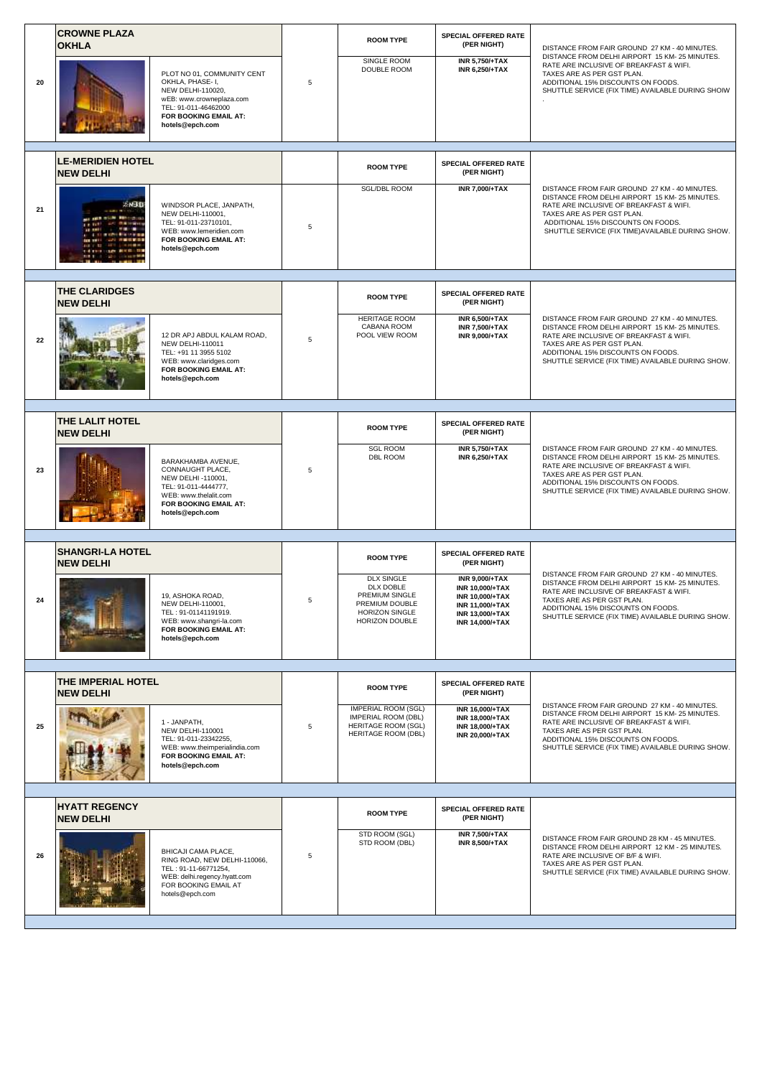|    | <b>CROWNE PLAZA</b><br><b>OKHLA</b>          |                                                                                                                                                                     |   | <b>ROOM TYPE</b>                                                                                                                  | SPECIAL OFFERED RATE<br>(PER NIGHT)                                                                                                        | DISTANCE FROM FAIR GROUND 27 KM - 40 MINUTES.                                                                                                                                                                                                                       |
|----|----------------------------------------------|---------------------------------------------------------------------------------------------------------------------------------------------------------------------|---|-----------------------------------------------------------------------------------------------------------------------------------|--------------------------------------------------------------------------------------------------------------------------------------------|---------------------------------------------------------------------------------------------------------------------------------------------------------------------------------------------------------------------------------------------------------------------|
| 20 |                                              | PLOT NO 01, COMMUNITY CENT<br>OKHLA, PHASE- I,<br>NEW DELHI-110020,<br>wEB: www.crowneplaza.com<br>TEL: 91-011-46462000<br>FOR BOOKING EMAIL AT:<br>hotels@epch.com | 5 | SINGLE ROOM<br>DOUBLE ROOM                                                                                                        | <b>INR 5,750/+TAX</b><br><b>INR 6,250/+TAX</b>                                                                                             | DISTANCE FROM DELHI AIRPORT 15 KM- 25 MINUTES.<br>RATE ARE INCLUSIVE OF BREAKFAST & WIFI.<br>TAXES ARE AS PER GST PLAN.<br>ADDITIONAL 15% DISCOUNTS ON FOODS.<br>SHUTTLE SERVICE (FIX TIME) AVAILABLE DURING SHOIW                                                  |
|    | <b>LE-MERIDIEN HOTEL</b><br><b>NEW DELHI</b> |                                                                                                                                                                     |   | <b>ROOM TYPE</b>                                                                                                                  | SPECIAL OFFERED RATE<br>(PER NIGHT)                                                                                                        |                                                                                                                                                                                                                                                                     |
| 21 | SN3D<br>12.21<br><b>BLACK IN</b>             | WINDSOR PLACE, JANPATH,<br>NEW DELHI-110001,<br>TEL: 91-011-23710101,<br>WEB: www.lemeridien.com<br>FOR BOOKING EMAIL AT:<br>hotels@epch.com                        | 5 | <b>SGL/DBL ROOM</b>                                                                                                               | <b>INR 7,000/+TAX</b>                                                                                                                      | DISTANCE FROM FAIR GROUND 27 KM - 40 MINUTES.<br>DISTANCE FROM DELHI AIRPORT 15 KM- 25 MINUTES.<br>RATE ARE INCLUSIVE OF BREAKFAST & WIFI.<br>TAXES ARE AS PER GST PLAN.<br>ADDITIONAL 15% DISCOUNTS ON FOODS.<br>SHUTTLE SERVICE (FIX TIME) AVAILABLE DURING SHOW. |
|    | <b>THE CLARIDGES</b><br><b>NEW DELHI</b>     |                                                                                                                                                                     |   | <b>ROOM TYPE</b>                                                                                                                  | SPECIAL OFFERED RATE<br>(PER NIGHT)                                                                                                        |                                                                                                                                                                                                                                                                     |
| 22 |                                              | 12 DR APJ ABDUL KALAM ROAD.<br>NEW DELHI-110011<br>TEL: +91 11 3955 5102<br>WEB: www.claridges.com<br>FOR BOOKING EMAIL AT:<br>hotels@epch.com                      | 5 | <b>HERITAGE ROOM</b><br>CABANA ROOM<br>POOL VIEW ROOM                                                                             | <b>INR 6,500/+TAX</b><br><b>INR 7,500/+TAX</b><br><b>INR 9,000/+TAX</b>                                                                    | DISTANCE FROM FAIR GROUND 27 KM - 40 MINUTES.<br>DISTANCE FROM DELHI AIRPORT 15 KM- 25 MINUTES.<br>RATE ARE INCLUSIVE OF BREAKFAST & WIFI.<br>TAXES ARE AS PER GST PLAN.<br>ADDITIONAL 15% DISCOUNTS ON FOODS.<br>SHUTTLE SERVICE (FIX TIME) AVAILABLE DURING SHOW. |
|    | THE LALIT HOTEL                              |                                                                                                                                                                     |   |                                                                                                                                   | SPECIAL OFFERED RATE                                                                                                                       |                                                                                                                                                                                                                                                                     |
| 23 | <b>NEW DELHI</b>                             | BARAKHAMBA AVENUE,<br>CONNAUGHT PLACE,<br>NEW DELHI -110001,<br>TEL: 91-011-4444777,<br>WEB: www.thelalit.com<br>FOR BOOKING EMAIL AT:<br>hotels@epch.com           | 5 | <b>ROOM TYPE</b><br><b>SGL ROOM</b><br><b>DBL ROOM</b>                                                                            | (PER NIGHT)<br><b>INR 5,750/+TAX</b><br><b>INR 6,250/+TAX</b>                                                                              | DISTANCE FROM FAIR GROUND 27 KM - 40 MINUTES.<br>DISTANCE FROM DELHI AIRPORT 15 KM- 25 MINUTES.<br>RATE ARE INCLUSIVE OF BREAKFAST & WIFI.<br>TAXES ARE AS PER GST PLAN.<br>ADDITIONAL 15% DISCOUNTS ON FOODS.<br>SHUTTLE SERVICE (FIX TIME) AVAILABLE DURING SHOW. |
|    | <b>SHANGRI-LA HOTEL</b>                      |                                                                                                                                                                     |   |                                                                                                                                   | SPECIAL OFFERED RATE                                                                                                                       |                                                                                                                                                                                                                                                                     |
|    | <b>NEW DELHI</b>                             | 19, ASHOKA ROAD,<br>NEW DELHI-110001.<br>TEL: 91-01141191919.<br>WEB: www.shangri-la.com<br>FOR BOOKING EMAIL AT:<br>hotels@epch.com                                |   | <b>ROOM TYPE</b><br><b>DLX SINGLE</b><br>DLX DOBLE<br>PREMIUM SINGLE<br>PREMIUM DOUBLE<br>HORIZON SINGLE<br>HORIZON DOUBLE        | (PER NIGHT)<br><b>INR 9,000/+TAX</b><br><b>INR 10.000/+TAX</b><br>INR 10,000/+TAX<br>INR 11,000/+TAX<br>INR 13,000/+TAX<br>INR 14,000/+TAX | DISTANCE FROM FAIR GROUND 27 KM - 40 MINUTES.<br>DISTANCE FROM DELHI AIRPORT 15 KM- 25 MINUTES.<br>RATE ARE INCLUSIVE OF BREAKFAST & WIFI.<br>TAXES ARE AS PER GST PLAN.<br>ADDITIONAL 15% DISCOUNTS ON FOODS.<br>SHUTTLE SERVICE (FIX TIME) AVAILABLE DURING SHOW. |
|    | THE IMPERIAL HOTEL                           |                                                                                                                                                                     |   |                                                                                                                                   | <b>SPECIAL OFFERED RATE</b>                                                                                                                |                                                                                                                                                                                                                                                                     |
| 25 | <b>NEW DELHI</b>                             | 1 - JANPATH,<br><b>NEW DELHI-110001</b><br>TEL: 91-011-23342255,<br>WEB: www.theimperialindia.com<br>FOR BOOKING EMAIL AT:<br>hotels@epch.com                       | 5 | <b>ROOM TYPE</b><br><b>IMPERIAL ROOM (SGL)</b><br><b>IMPERIAL ROOM (DBL)</b><br><b>HERITAGE ROOM (SGL)</b><br>HERITAGE ROOM (DBL) | (PER NIGHT)<br>INR 16,000/+TAX<br><b>INR 18.000/+TAX</b><br><b>INR 18.000/+TAX</b><br>INR 20,000/+TAX                                      | DISTANCE FROM FAIR GROUND 27 KM - 40 MINUTES.<br>DISTANCE FROM DELHI AIRPORT 15 KM- 25 MINUTES.<br>RATE ARE INCLUSIVE OF BREAKFAST & WIFI.<br>TAXES ARE AS PER GST PLAN.<br>ADDITIONAL 15% DISCOUNTS ON FOODS.<br>SHUTTLE SERVICE (FIX TIME) AVAILABLE DURING SHOW. |
|    |                                              |                                                                                                                                                                     |   |                                                                                                                                   |                                                                                                                                            |                                                                                                                                                                                                                                                                     |
| 26 | <b>HYATT REGENCY</b><br><b>NEW DELHI</b>     | BHICAJI CAMA PLACE,<br>RING ROAD, NEW DELHI-110066,<br>TEL: 91-11-66771254,<br>WEB: delhi.regency.hyatt.com<br>FOR BOOKING EMAIL AT<br>hotels@epch.com              | 5 | <b>ROOM TYPE</b><br>STD ROOM (SGL)<br>STD ROOM (DBL)                                                                              | SPECIAL OFFERED RATE<br>(PER NIGHT)<br><b>INR 7,500/+TAX</b><br><b>INR 8,500/+TAX</b>                                                      | DISTANCE FROM FAIR GROUND 28 KM - 45 MINUTES.<br>DISTANCE FROM DELHI AIRPORT 12 KM - 25 MINUTES.<br>RATE ARE INCLUSIVE OF B/F & WIFI.<br>TAXES ARE AS PER GST PLAN.<br>SHUTTLE SERVICE (FIX TIME) AVAILABLE DURING SHOW.                                            |
|    |                                              |                                                                                                                                                                     |   |                                                                                                                                   |                                                                                                                                            |                                                                                                                                                                                                                                                                     |